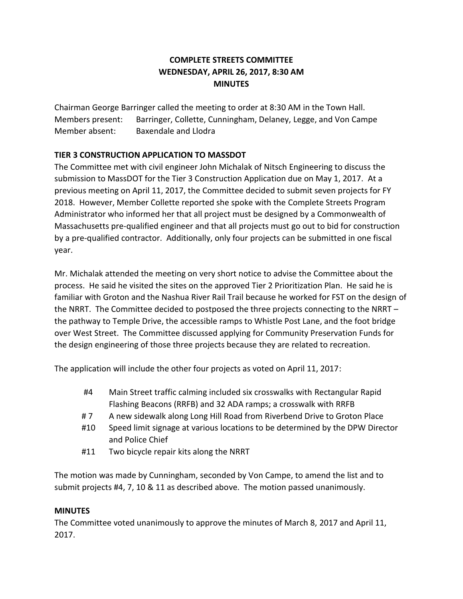## **COMPLETE STREETS COMMITTEE WEDNESDAY, APRIL 26, 2017, 8:30 AM MINUTES**

Chairman George Barringer called the meeting to order at 8:30 AM in the Town Hall. Members present: Barringer, Collette, Cunningham, Delaney, Legge, and Von Campe Member absent: Baxendale and Llodra

## **TIER 3 CONSTRUCTION APPLICATION TO MASSDOT**

The Committee met with civil engineer John Michalak of Nitsch Engineering to discuss the submission to MassDOT for the Tier 3 Construction Application due on May 1, 2017. At a previous meeting on April 11, 2017, the Committee decided to submit seven projects for FY 2018. However, Member Collette reported she spoke with the Complete Streets Program Administrator who informed her that all project must be designed by a Commonwealth of Massachusetts pre-qualified engineer and that all projects must go out to bid for construction by a pre-qualified contractor. Additionally, only four projects can be submitted in one fiscal year.

Mr. Michalak attended the meeting on very short notice to advise the Committee about the process. He said he visited the sites on the approved Tier 2 Prioritization Plan. He said he is familiar with Groton and the Nashua River Rail Trail because he worked for FST on the design of the NRRT. The Committee decided to postposed the three projects connecting to the NRRT – the pathway to Temple Drive, the accessible ramps to Whistle Post Lane, and the foot bridge over West Street. The Committee discussed applying for Community Preservation Funds for the design engineering of those three projects because they are related to recreation.

The application will include the other four projects as voted on April 11, 2017:

- #4 Main Street traffic calming included six crosswalks with Rectangular Rapid Flashing Beacons (RRFB) and 32 ADA ramps; a crosswalk with RRFB
- # 7 A new sidewalk along Long Hill Road from Riverbend Drive to Groton Place
- #10 Speed limit signage at various locations to be determined by the DPW Director and Police Chief
- #11 Two bicycle repair kits along the NRRT

The motion was made by Cunningham, seconded by Von Campe, to amend the list and to submit projects #4, 7, 10 & 11 as described above. The motion passed unanimously.

## **MINUTES**

The Committee voted unanimously to approve the minutes of March 8, 2017 and April 11, 2017.